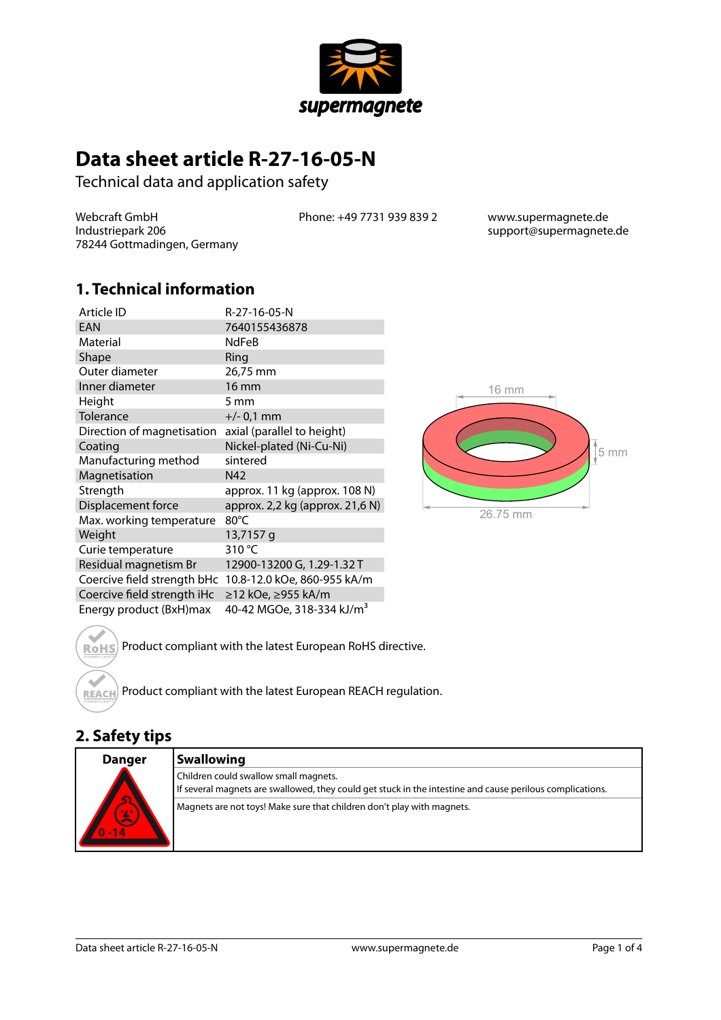

## **Data sheet article R-27-16-05-N**

Technical data and application safety

Webcraft GmbH Industriepark 206 78244 Gottmadingen, Germany Phone: +49 7731 939 839 2 www.supermagnete.de

support@supermagnete.de

#### **1. Technical information**

| Article ID                  | R-27-16-05-N                          |
|-----------------------------|---------------------------------------|
| EAN                         | 7640155436878                         |
| Material                    | <b>NdFeB</b>                          |
| Shape                       | Ring                                  |
| Outer diameter              | 26,75 mm                              |
| Inner diameter              | <b>16 mm</b>                          |
| Height                      | 5 mm                                  |
| Tolerance                   | $+/- 0.1$ mm                          |
| Direction of magnetisation  | axial (parallel to height)            |
| Coating                     | Nickel-plated (Ni-Cu-Ni)              |
| Manufacturing method        | sintered                              |
| Magnetisation               | N42                                   |
| Strength                    | approx. 11 kg (approx. 108 N)         |
| Displacement force          | approx. 2,2 kg (approx. 21,6 N)       |
| Max. working temperature    | 80°C                                  |
| Weight                      | 13,7157 g                             |
| Curie temperature           | 310 °C                                |
| Residual magnetism Br       | 12900-13200 G, 1.29-1.32 T            |
| Coercive field strength bHc | 10.8-12.0 kOe, 860-955 kA/m           |
| Coercive field strength iHc | ≥12 kOe, ≥955 kA/m                    |
| Energy product (BxH)max     | 40-42 MGOe, 318-334 kJ/m <sup>3</sup> |



Product compliant with the latest European RoHS directive. **RoHS** 

Product compliant with the latest European REACH regulation. **REACH** 

#### **2. Safety tips**

 $\triangle$ 

| <b>Danger</b>                    | <b>Swallowing</b>                                                                                                                                  |
|----------------------------------|----------------------------------------------------------------------------------------------------------------------------------------------------|
| $\overline{\mathbf{c}}$<br>$-14$ | Children could swallow small magnets.<br>If several magnets are swallowed, they could get stuck in the intestine and cause perilous complications. |
|                                  | Magnets are not toys! Make sure that children don't play with magnets.                                                                             |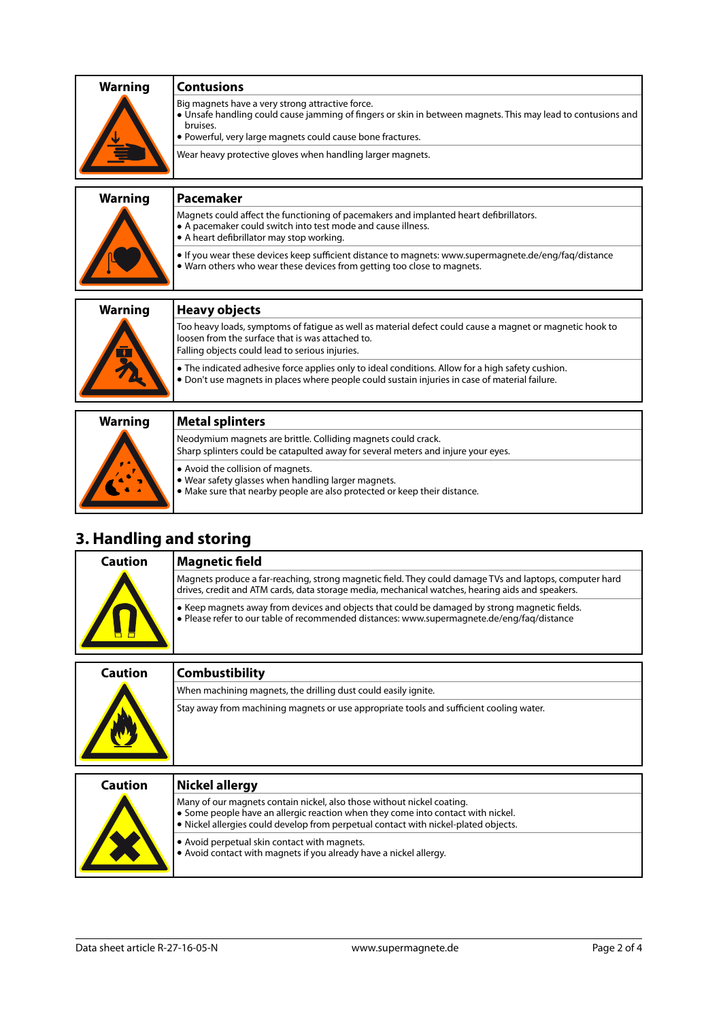|                | <b>Contusions</b>                                                                                                                                                                                                                          |
|----------------|--------------------------------------------------------------------------------------------------------------------------------------------------------------------------------------------------------------------------------------------|
| <b>Warning</b> |                                                                                                                                                                                                                                            |
|                | Big magnets have a very strong attractive force.<br>• Unsafe handling could cause jamming of fingers or skin in between magnets. This may lead to contusions and<br>bruises.<br>. Powerful, very large magnets could cause bone fractures. |
|                | Wear heavy protective gloves when handling larger magnets.                                                                                                                                                                                 |
| <b>Warning</b> | <b>Pacemaker</b>                                                                                                                                                                                                                           |
|                | Magnets could affect the functioning of pacemakers and implanted heart defibrillators.<br>• A pacemaker could switch into test mode and cause illness.<br>• A heart defibrillator may stop working.                                        |
|                | If you wear these devices keep sufficient distance to magnets: www.supermagnete.de/eng/fag/distance<br>• Warn others who wear these devices from getting too close to magnets.                                                             |
| <b>Warning</b> | <b>Heavy objects</b>                                                                                                                                                                                                                       |
|                | Too heavy loads, symptoms of fatigue as well as material defect could cause a magnet or magnetic hook to<br>loosen from the surface that is was attached to.<br>Falling objects could lead to serious injuries.                            |
|                | • The indicated adhesive force applies only to ideal conditions. Allow for a high safety cushion.<br>. Don't use magnets in places where people could sustain injuries in case of material failure.                                        |
|                |                                                                                                                                                                                                                                            |
| <b>Warning</b> | <b>Metal splinters</b>                                                                                                                                                                                                                     |
|                | Neodymium magnets are brittle. Colliding magnets could crack.<br>Sharp splinters could be catapulted away for several meters and injure your eyes.                                                                                         |

**•** Avoid the collision of magnets.

**•** Wear safety glasses when handling larger magnets.

**•** Make sure that nearby people are also protected or keep their distance.

## **3. Handling and storing**

| Caution   | <b>Magnetic field</b>                                                                                                                                                                                       |
|-----------|-------------------------------------------------------------------------------------------------------------------------------------------------------------------------------------------------------------|
| <u>__</u> | Magnets produce a far-reaching, strong magnetic field. They could damage TVs and laptops, computer hard<br>drives, credit and ATM cards, data storage media, mechanical watches, hearing aids and speakers. |
|           | $\bullet$ Keep magnets away from devices and objects that could be damaged by strong magnetic fields.<br>• Please refer to our table of recommended distances: www.supermagnete.de/eng/fag/distance         |
|           |                                                                                                                                                                                                             |

| Caution | <b>Combustibility</b>                                                                   |
|---------|-----------------------------------------------------------------------------------------|
|         | When machining magnets, the drilling dust could easily ignite.                          |
|         | Stay away from machining magnets or use appropriate tools and sufficient cooling water. |
|         |                                                                                         |

| Caution | Nickel allergy                                                                                                                                                                                                                                    |
|---------|---------------------------------------------------------------------------------------------------------------------------------------------------------------------------------------------------------------------------------------------------|
|         | Many of our magnets contain nickel, also those without nickel coating.<br>• Some people have an allergic reaction when they come into contact with nickel.<br>• Nickel allergies could develop from perpetual contact with nickel-plated objects. |
|         | . Avoid perpetual skin contact with magnets.<br>. Avoid contact with magnets if you already have a nickel allergy.                                                                                                                                |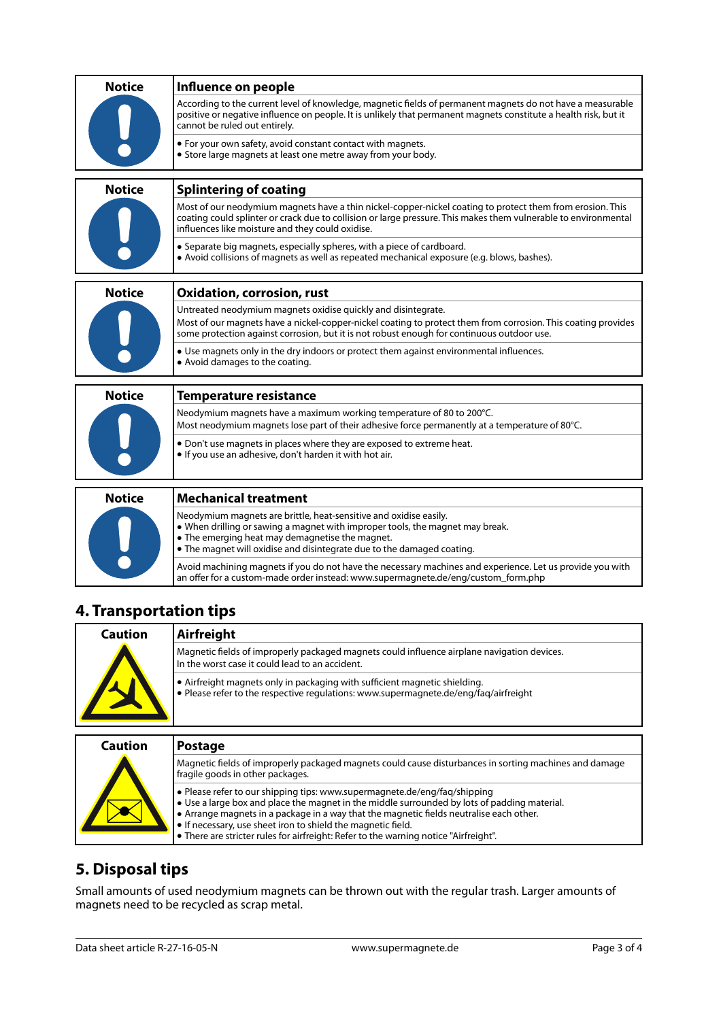| <b>Notice</b> | Influence on people                                                                                                                                                                                                                                                              |
|---------------|----------------------------------------------------------------------------------------------------------------------------------------------------------------------------------------------------------------------------------------------------------------------------------|
|               | According to the current level of knowledge, magnetic fields of permanent magnets do not have a measurable<br>positive or negative influence on people. It is unlikely that permanent magnets constitute a health risk, but it<br>cannot be ruled out entirely.                  |
|               | • For your own safety, avoid constant contact with magnets.<br>• Store large magnets at least one metre away from your body.                                                                                                                                                     |
| <b>Notice</b> | <b>Splintering of coating</b>                                                                                                                                                                                                                                                    |
|               | Most of our neodymium magnets have a thin nickel-copper-nickel coating to protect them from erosion. This<br>coating could splinter or crack due to collision or large pressure. This makes them vulnerable to environmental<br>influences like moisture and they could oxidise. |
|               | • Separate big magnets, especially spheres, with a piece of cardboard.<br>• Avoid collisions of magnets as well as repeated mechanical exposure (e.g. blows, bashes).                                                                                                            |
| <b>Notice</b> | <b>Oxidation, corrosion, rust</b>                                                                                                                                                                                                                                                |
|               | Untreated neodymium magnets oxidise quickly and disintegrate.                                                                                                                                                                                                                    |
|               | Most of our magnets have a nickel-copper-nickel coating to protect them from corrosion. This coating provides<br>some protection against corrosion, but it is not robust enough for continuous outdoor use.                                                                      |
|               | • Use magnets only in the dry indoors or protect them against environmental influences.<br>• Avoid damages to the coating.                                                                                                                                                       |
| <b>Notice</b> | <b>Temperature resistance</b>                                                                                                                                                                                                                                                    |
|               | Neodymium magnets have a maximum working temperature of 80 to 200°C.<br>Most neodymium magnets lose part of their adhesive force permanently at a temperature of 80°C.                                                                                                           |
|               | • Don't use magnets in places where they are exposed to extreme heat.<br>. If you use an adhesive, don't harden it with hot air.                                                                                                                                                 |
| <b>Notice</b> | <b>Mechanical treatment</b>                                                                                                                                                                                                                                                      |
|               | Neodymium magnets are brittle, heat-sensitive and oxidise easily.<br>• When drilling or sawing a magnet with improper tools, the magnet may break.<br>• The emerging heat may demagnetise the magnet.<br>• The magnet will oxidise and disintegrate due to the damaged coating.  |

# **4. Transportation tips**

| Caution | Airfreight                                                                                                                                                         |
|---------|--------------------------------------------------------------------------------------------------------------------------------------------------------------------|
|         | Magnetic fields of improperly packaged magnets could influence airplane navigation devices.<br>In the worst case it could lead to an accident.                     |
|         | • Airfreight magnets only in packaging with sufficient magnetic shielding.<br>• Please refer to the respective requiations: www.supermagnete.de/eng/fag/airfreight |
|         |                                                                                                                                                                    |
| Caution | <b>Postage</b>                                                                                                                                                     |
|         | Magnetic fields of improperly packaged magnets could cause disturbances in sorting machines and damage<br>fragile goods in other packages.                         |

an offer for a custom-made order instead: [www.supermagnete.de/eng/custom\\_form.php](http://www.supermagnete.de/eng/custom_form.php)

Avoid machining magnets if you do not have the necessary machines and experience. Let us provide you with

| fragile goods in other packages.                                                                                                                                                                                                                                                                                                                                                                                                                     |
|------------------------------------------------------------------------------------------------------------------------------------------------------------------------------------------------------------------------------------------------------------------------------------------------------------------------------------------------------------------------------------------------------------------------------------------------------|
| • Please refer to our shipping tips: www.supermagnete.de/eng/fag/shipping<br>$\bullet$ Use a large box and place the magnet in the middle surrounded by lots of padding material.<br>$\bullet$ Arrange magnets in a package in a way that the magnetic fields neutralise each other.<br>$\bullet$ If necessary, use sheet iron to shield the magnetic field.<br>• There are stricter rules for airfreight: Refer to the warning notice "Airfreight". |

## **5. Disposal tips**

Small amounts of used neodymium magnets can be thrown out with the regular trash. Larger amounts of magnets need to be recycled as scrap metal.